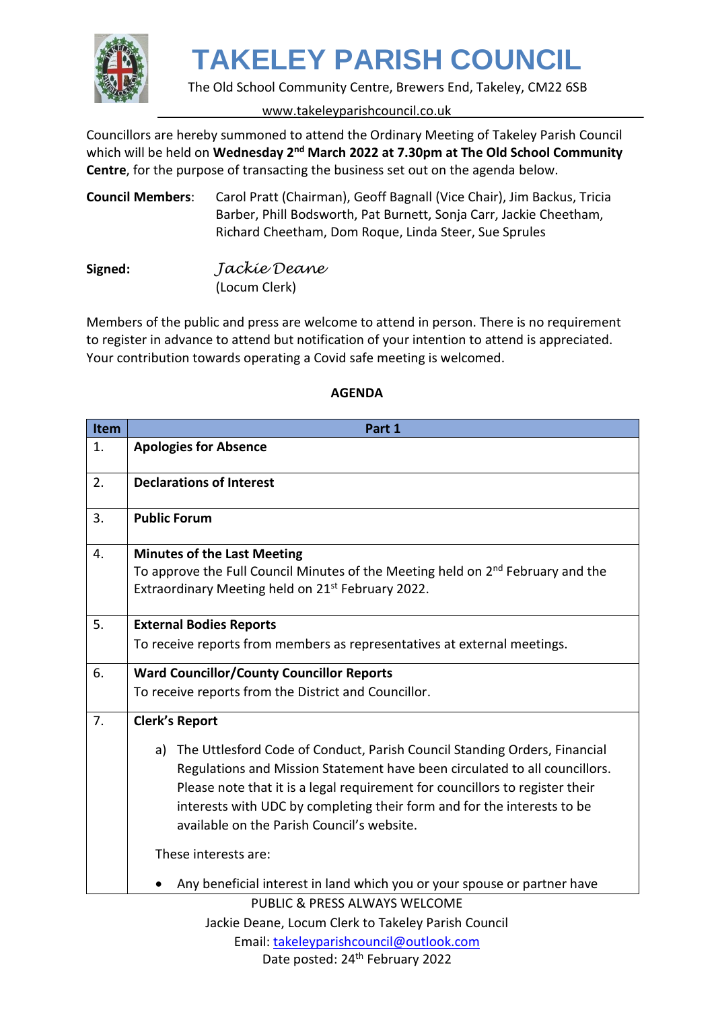

The Old School Community Centre, Brewers End, Takeley, CM22 6SB

#### www.takeleyparishcouncil.co.uk

Councillors are hereby summoned to attend the Ordinary Meeting of Takeley Parish Council which will be held on Wednesday 2<sup>nd</sup> March 2022 at 7.30pm at The Old School Community **Centre**, for the purpose of transacting the business set out on the agenda below.

**Council Members**: Carol Pratt (Chairman), Geoff Bagnall (Vice Chair), Jim Backus, Tricia Barber, Phill Bodsworth, Pat Burnett, Sonja Carr, Jackie Cheetham, Richard Cheetham, Dom Roque, Linda Steer, Sue Sprules

**Signed:** *Jackie Deane*  (Locum Clerk)

Members of the public and press are welcome to attend in person. There is no requirement to register in advance to attend but notification of your intention to attend is appreciated. Your contribution towards operating a Covid safe meeting is welcomed.

| Item | Part 1                                                                            |
|------|-----------------------------------------------------------------------------------|
| 1.   | <b>Apologies for Absence</b>                                                      |
| 2.   | <b>Declarations of Interest</b>                                                   |
| 3.   | <b>Public Forum</b>                                                               |
| 4.   | <b>Minutes of the Last Meeting</b>                                                |
|      | To approve the Full Council Minutes of the Meeting held on $2nd$ February and the |
|      | Extraordinary Meeting held on 21 <sup>st</sup> February 2022.                     |
| 5.   | <b>External Bodies Reports</b>                                                    |
|      | To receive reports from members as representatives at external meetings.          |
| 6.   | <b>Ward Councillor/County Councillor Reports</b>                                  |
|      | To receive reports from the District and Councillor.                              |
| 7.   | <b>Clerk's Report</b>                                                             |
|      | The Uttlesford Code of Conduct, Parish Council Standing Orders, Financial<br>a)   |
|      | Regulations and Mission Statement have been circulated to all councillors.        |
|      | Please note that it is a legal requirement for councillors to register their      |
|      | interests with UDC by completing their form and for the interests to be           |
|      | available on the Parish Council's website.                                        |
|      | These interests are:                                                              |
|      | Any beneficial interest in land which you or your spouse or partner have          |
|      | <b>PUBLIC &amp; PRESS ALWAYS WELCOME</b>                                          |
|      | Jackie Deane, Locum Clerk to Takeley Parish Council                               |
|      | Email: takeleyparishcouncil@outlook.com                                           |

#### **AGENDA**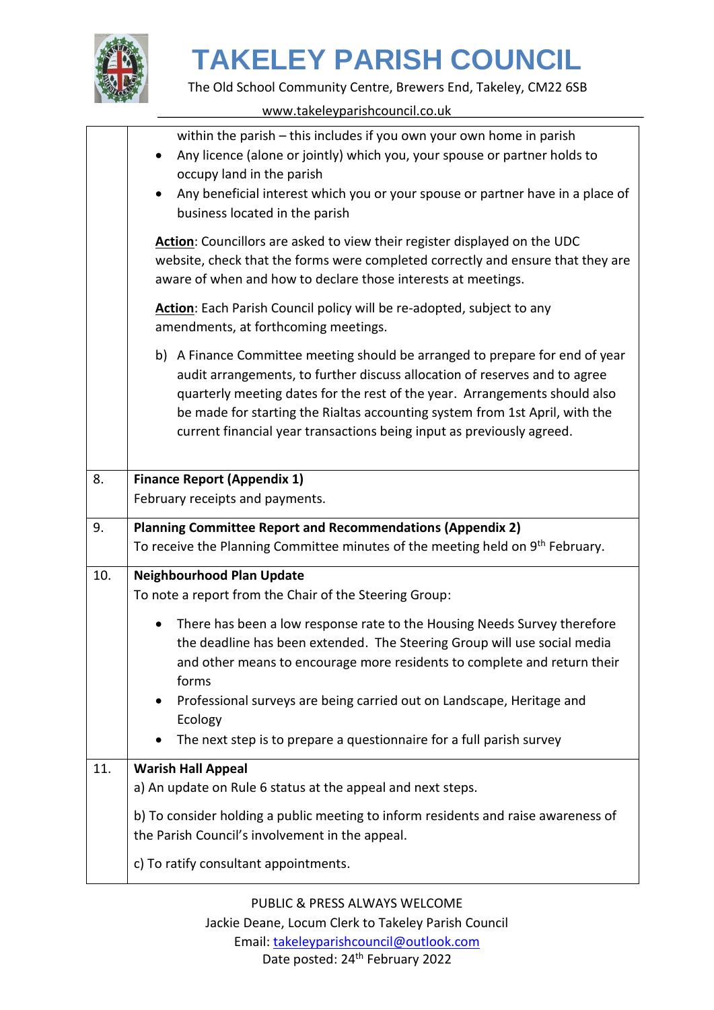

The Old School Community Centre, Brewers End, Takeley, CM22 6SB

www.takeleyparishcouncil.co.uk

|     | within the parish - this includes if you own your own home in parish                                                                                                                                                                                                                                                                                                                             |
|-----|--------------------------------------------------------------------------------------------------------------------------------------------------------------------------------------------------------------------------------------------------------------------------------------------------------------------------------------------------------------------------------------------------|
|     | Any licence (alone or jointly) which you, your spouse or partner holds to<br>occupy land in the parish                                                                                                                                                                                                                                                                                           |
|     | Any beneficial interest which you or your spouse or partner have in a place of                                                                                                                                                                                                                                                                                                                   |
|     | business located in the parish                                                                                                                                                                                                                                                                                                                                                                   |
|     | Action: Councillors are asked to view their register displayed on the UDC<br>website, check that the forms were completed correctly and ensure that they are<br>aware of when and how to declare those interests at meetings.                                                                                                                                                                    |
|     | Action: Each Parish Council policy will be re-adopted, subject to any<br>amendments, at forthcoming meetings.                                                                                                                                                                                                                                                                                    |
|     | b) A Finance Committee meeting should be arranged to prepare for end of year<br>audit arrangements, to further discuss allocation of reserves and to agree<br>quarterly meeting dates for the rest of the year. Arrangements should also<br>be made for starting the Rialtas accounting system from 1st April, with the<br>current financial year transactions being input as previously agreed. |
| 8.  | <b>Finance Report (Appendix 1)</b>                                                                                                                                                                                                                                                                                                                                                               |
|     | February receipts and payments.                                                                                                                                                                                                                                                                                                                                                                  |
| 9.  | <b>Planning Committee Report and Recommendations (Appendix 2)</b>                                                                                                                                                                                                                                                                                                                                |
|     | To receive the Planning Committee minutes of the meeting held on 9 <sup>th</sup> February.                                                                                                                                                                                                                                                                                                       |
| 10. | <b>Neighbourhood Plan Update</b>                                                                                                                                                                                                                                                                                                                                                                 |
|     | To note a report from the Chair of the Steering Group:                                                                                                                                                                                                                                                                                                                                           |
|     | There has been a low response rate to the Housing Needs Survey therefore<br>the deadline has been extended. The Steering Group will use social media<br>and other means to encourage more residents to complete and return their<br>forms                                                                                                                                                        |
|     | Professional surveys are being carried out on Landscape, Heritage and<br>Ecology                                                                                                                                                                                                                                                                                                                 |
|     | The next step is to prepare a questionnaire for a full parish survey                                                                                                                                                                                                                                                                                                                             |
| 11. | <b>Warish Hall Appeal</b>                                                                                                                                                                                                                                                                                                                                                                        |
|     | a) An update on Rule 6 status at the appeal and next steps.                                                                                                                                                                                                                                                                                                                                      |
|     | b) To consider holding a public meeting to inform residents and raise awareness of                                                                                                                                                                                                                                                                                                               |
|     | the Parish Council's involvement in the appeal.                                                                                                                                                                                                                                                                                                                                                  |
|     | c) To ratify consultant appointments.                                                                                                                                                                                                                                                                                                                                                            |

PUBLIC & PRESS ALWAYS WELCOME Jackie Deane, Locum Clerk to Takeley Parish Council Email: [takeleyparishcouncil@outlook.com](mailto:takeleyparishcouncil@outlook.com) Date posted: 24<sup>th</sup> February 2022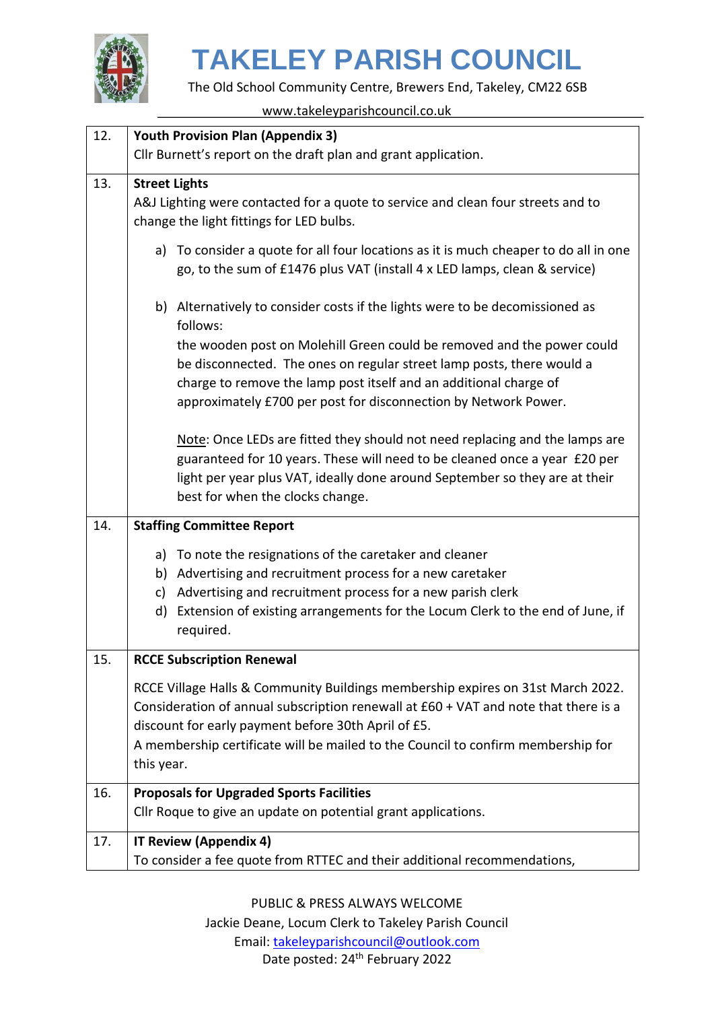

The Old School Community Centre, Brewers End, Takeley, CM22 6SB

www.takeleyparishcouncil.co.uk

| 12. | <b>Youth Provision Plan (Appendix 3)</b>                                                                                                                                                                                                 |
|-----|------------------------------------------------------------------------------------------------------------------------------------------------------------------------------------------------------------------------------------------|
|     | Cllr Burnett's report on the draft plan and grant application.                                                                                                                                                                           |
| 13. | <b>Street Lights</b>                                                                                                                                                                                                                     |
|     | A&J Lighting were contacted for a quote to service and clean four streets and to                                                                                                                                                         |
|     | change the light fittings for LED bulbs.                                                                                                                                                                                                 |
|     | To consider a quote for all four locations as it is much cheaper to do all in one<br>a)<br>go, to the sum of £1476 plus VAT (install 4 x LED lamps, clean & service)                                                                     |
|     | b) Alternatively to consider costs if the lights were to be decomissioned as<br>follows:                                                                                                                                                 |
|     | the wooden post on Molehill Green could be removed and the power could                                                                                                                                                                   |
|     | be disconnected. The ones on regular street lamp posts, there would a                                                                                                                                                                    |
|     | charge to remove the lamp post itself and an additional charge of                                                                                                                                                                        |
|     | approximately £700 per post for disconnection by Network Power.                                                                                                                                                                          |
|     | Note: Once LEDs are fitted they should not need replacing and the lamps are<br>guaranteed for 10 years. These will need to be cleaned once a year £20 per<br>light per year plus VAT, ideally done around September so they are at their |
|     | best for when the clocks change.                                                                                                                                                                                                         |
| 14. | <b>Staffing Committee Report</b>                                                                                                                                                                                                         |
|     | To note the resignations of the caretaker and cleaner<br>a)                                                                                                                                                                              |
|     | Advertising and recruitment process for a new caretaker<br>b)                                                                                                                                                                            |
|     | Advertising and recruitment process for a new parish clerk<br>c)                                                                                                                                                                         |
|     | Extension of existing arrangements for the Locum Clerk to the end of June, if<br>d)<br>required.                                                                                                                                         |
| 15. | <b>RCCE Subscription Renewal</b>                                                                                                                                                                                                         |
|     | RCCE Village Halls & Community Buildings membership expires on 31st March 2022.                                                                                                                                                          |
|     | Consideration of annual subscription renewall at £60 + VAT and note that there is a                                                                                                                                                      |
|     | discount for early payment before 30th April of £5.                                                                                                                                                                                      |
|     | A membership certificate will be mailed to the Council to confirm membership for                                                                                                                                                         |
|     | this year.                                                                                                                                                                                                                               |
| 16. | <b>Proposals for Upgraded Sports Facilities</b>                                                                                                                                                                                          |
|     | Cllr Roque to give an update on potential grant applications.                                                                                                                                                                            |
| 17. | IT Review (Appendix 4)                                                                                                                                                                                                                   |
|     | To consider a fee quote from RTTEC and their additional recommendations,                                                                                                                                                                 |

PUBLIC & PRESS ALWAYS WELCOME Jackie Deane, Locum Clerk to Takeley Parish Council Email: [takeleyparishcouncil@outlook.com](mailto:takeleyparishcouncil@outlook.com) Date posted: 24<sup>th</sup> February 2022